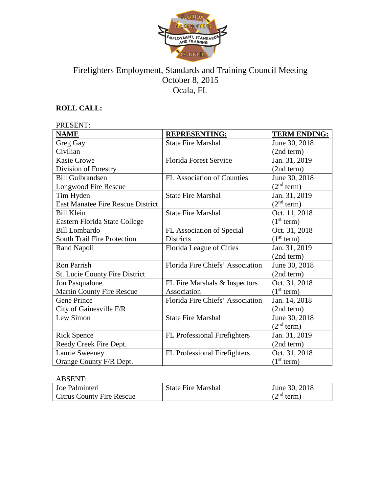

# Firefighters Employment, Standards and Training Council Meeting October 8, 2015 Ocala, FL

## **ROLL CALL:**

| <b>PRESENT:</b>                          |                                   |                        |  |
|------------------------------------------|-----------------------------------|------------------------|--|
| <b>NAME</b>                              | <b>REPRESENTING:</b>              | <b>TERM ENDING:</b>    |  |
| Greg Gay                                 | <b>State Fire Marshal</b>         | June 30, 2018          |  |
| Civilian                                 |                                   | (2nd term)             |  |
| <b>Kasie Crowe</b>                       | <b>Florida Forest Service</b>     | Jan. 31, 2019          |  |
| Division of Forestry                     |                                   | (2nd term)             |  |
| <b>Bill Gulbrandsen</b>                  | <b>FL Association of Counties</b> | June 30, 2018          |  |
| Longwood Fire Rescue                     |                                   | (2 <sup>nd</sup> term) |  |
| Tim Hyden                                | <b>State Fire Marshal</b>         | Jan. 31, 2019          |  |
| <b>East Manatee Fire Rescue District</b> |                                   | (2 <sup>nd</sup> term) |  |
| <b>Bill Klein</b>                        | <b>State Fire Marshal</b>         | Oct. 11, 2018          |  |
| Eastern Florida State College            |                                   | (1 <sup>st</sup> term) |  |
| <b>Bill Lombardo</b>                     | FL Association of Special         | Oct. 31, 2018          |  |
| <b>South Trail Fire Protection</b>       | <b>Districts</b>                  | (1 <sup>st</sup> term) |  |
| Rand Napoli                              | Florida League of Cities          | Jan. 31, 2019          |  |
|                                          |                                   | (2nd term)             |  |
| <b>Ron Parrish</b>                       | Florida Fire Chiefs' Association  | June 30, 2018          |  |
| St. Lucie County Fire District           |                                   | (2nd term)             |  |
| Jon Pasqualone                           | FL Fire Marshals & Inspectors     | Oct. 31, 2018          |  |
| <b>Martin County Fire Rescue</b>         | Association                       | (1 <sup>st</sup> term) |  |
| <b>Gene Prince</b>                       | Florida Fire Chiefs' Association  | Jan. 14, 2018          |  |
| City of Gainesville F/R                  |                                   | (2nd term)             |  |
| Lew Simon                                | <b>State Fire Marshal</b>         | June 30, 2018          |  |
|                                          |                                   | (2 <sup>nd</sup> term) |  |
| <b>Rick Spence</b>                       | FL Professional Firefighters      | Jan. 31, 2019          |  |
| Reedy Creek Fire Dept.                   |                                   | (2nd term)             |  |
| Laurie Sweeney                           | FL Professional Firefighters      | Oct. 31, 2018          |  |
| Orange County F/R Dept.                  |                                   | (1 <sup>st</sup> term) |  |

## ABSENT:

| Joe Palminteri                   | <b>State Fire Marshal</b> | June 30, 2018          |
|----------------------------------|---------------------------|------------------------|
| <b>Citrus County Fire Rescue</b> |                           | (2 <sup>nd</sup> term) |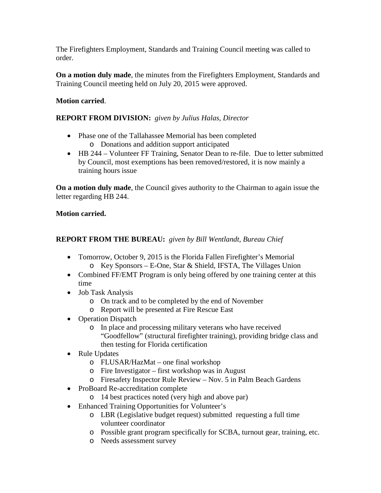The Firefighters Employment, Standards and Training Council meeting was called to order.

**On a motion duly made**, the minutes from the Firefighters Employment, Standards and Training Council meeting held on July 20, 2015 were approved.

### **Motion carried**.

### **REPORT FROM DIVISION:** *given by Julius Halas, Director*

- Phase one of the Tallahassee Memorial has been completed o Donations and addition support anticipated
- HB 244 Volunteer FF Training, Senator Dean to re-file. Due to letter submitted by Council, most exemptions has been removed/restored, it is now mainly a training hours issue

**On a motion duly made**, the Council gives authority to the Chairman to again issue the letter regarding HB 244.

#### **Motion carried.**

## **REPORT FROM THE BUREAU:** *given by Bill Wentlandt, Bureau Chief*

- Tomorrow, October 9, 2015 is the Florida Fallen Firefighter's Memorial o Key Sponsors – E-One, Star & Shield, IFSTA, The Villages Union
- Combined FF/EMT Program is only being offered by one training center at this time
- Job Task Analysis
	- o On track and to be completed by the end of November
	- o Report will be presented at Fire Rescue East
- Operation Dispatch
	- o In place and processing military veterans who have received "Goodfellow" (structural firefighter training), providing bridge class and then testing for Florida certification
- Rule Updates
	- o FLUSAR/HazMat one final workshop
	- o Fire Investigator first workshop was in August
	- o Firesafety Inspector Rule Review Nov. 5 in Palm Beach Gardens
- ProBoard Re-accreditation complete
	- o 14 best practices noted (very high and above par)
- Enhanced Training Opportunities for Volunteer's
	- o LBR (Legislative budget request) submitted requesting a full time volunteer coordinator
	- o Possible grant program specifically for SCBA, turnout gear, training, etc.
	- o Needs assessment survey